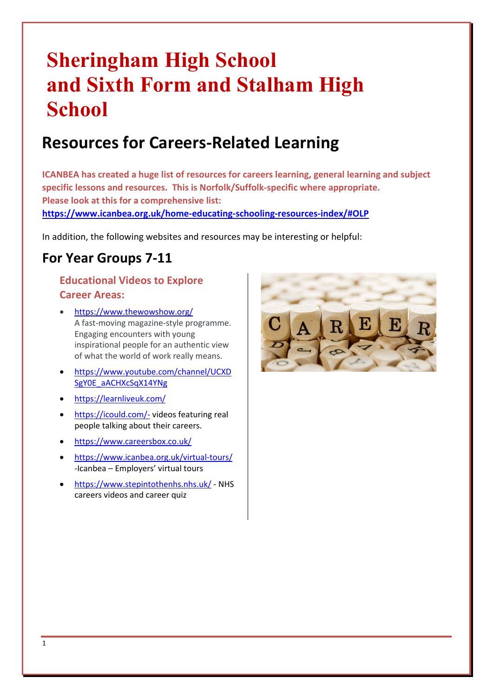# **Sheringham High School and Sixth Form and Stalham High School**

## **Resources for Careers-Related Learning**

**ICANBEA has created a huge list of resources for careers learning, general learning and subject specific lessons and resources. This is Norfolk/Suffolk-specific where appropriate. Please look at this for a comprehensive list:**

**<https://www.icanbea.org.uk/home-educating-schooling-resources-index/#OLP>**

In addition, the following websites and resources may be interesting or helpful:

## **For Year Groups 7-11**

#### **Educational Videos to Explore Career Areas:**

- <https://www.thewowshow.org/> A fast-moving magazine-style programme. Engaging encounters with young inspirational people for an authentic view of what the world of work really means.
- [https://www.youtube.com/channel/UCXD](https://www.youtube.com/channel/UCXDSgY0E_aACHXcSqX14YNg) [SgY0E\\_aACHXcSqX14YNg](https://www.youtube.com/channel/UCXDSgY0E_aACHXcSqX14YNg)
- <https://learnliveuk.com/>
- <https://icould.com/-> videos featuring real people talking about their careers.
- <https://www.careersbox.co.uk/>
- <https://www.icanbea.org.uk/virtual-tours/> -Icanbea – Employers' virtual tours
- <https://www.stepintothenhs.nhs.uk/> NHS careers videos and career quiz

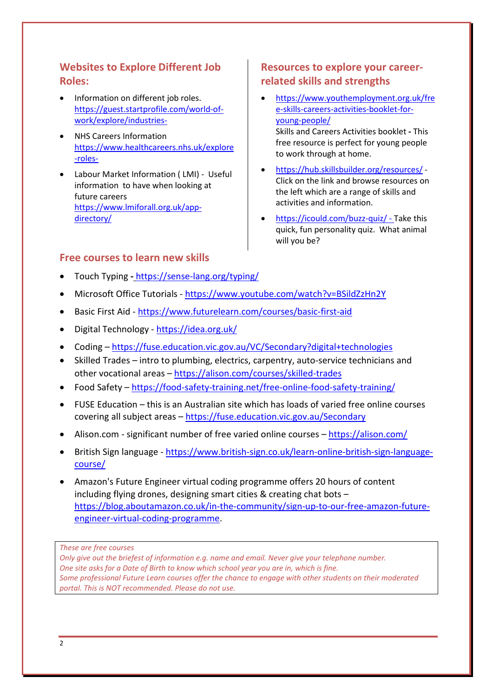#### **Websites to Explore Different Job Roles:**

- Information on different job roles. [https://guest.startprofile.com/world-of](https://guest.startprofile.com/world-of-work/explore/industries-)[work/explore/industries-](https://guest.startprofile.com/world-of-work/explore/industries-)
- NHS Careers Information [https://www.healthcareers.nhs.uk/explore](https://www.healthcareers.nhs.uk/explore-roles-) [-roles-](https://www.healthcareers.nhs.uk/explore-roles-)
- Labour Market Information ( LMI) Useful information to have when looking at future careers [https://www.lmiforall.org.uk/app](https://www.lmiforall.org.uk/app-directory/)[directory/](https://www.lmiforall.org.uk/app-directory/)

#### **Free courses to learn new skills**

• Touch Typing **-** <https://sense-lang.org/typing/>

#### • Microsoft Office Tutorials - <https://www.youtube.com/watch?v=BSildZzHn2Y>

- Basic First Aid <https://www.futurelearn.com/courses/basic-first-aid>
- Digital Technology <https://idea.org.uk/>
- Coding <https://fuse.education.vic.gov.au/VC/Secondary?digital+technologies>
- Skilled Trades intro to plumbing, electrics, carpentry, auto-service technicians and other vocational areas – <https://alison.com/courses/skilled-trades>
- Food Safety <https://food-safety-training.net/free-online-food-safety-training/>
- FUSE Education this is an Australian site which has loads of varied free online courses covering all subject areas – <https://fuse.education.vic.gov.au/Secondary>
- Alison.com significant number of free varied online courses <https://alison.com/>
- British Sign language [https://www.british-sign.co.uk/learn-online-british-sign-language](https://www.british-sign.co.uk/learn-online-british-sign-language-course/)[course/](https://www.british-sign.co.uk/learn-online-british-sign-language-course/)
- Amazon's Future Engineer virtual coding programme offers 20 hours of content including flying drones, designing smart cities & creating chat bots – [https://blog.aboutamazon.co.uk/in-the-community/sign-up-to-our-free-amazon-future](https://blog.aboutamazon.co.uk/in-the-community/sign-up-to-our-free-amazon-future-engineer-virtual-coding-programme)[engineer-virtual-coding-programme.](https://blog.aboutamazon.co.uk/in-the-community/sign-up-to-our-free-amazon-future-engineer-virtual-coding-programme)

*These are free courses*

*Only give out the briefest of information e.g. name and email. Never give your telephone number. One site asks for a Date of Birth to know which school year you are in, which is fine. Some professional Future Learn courses offer the chance to engage with other students on their moderated portal. This is NOT recommended. Please do not use.*

#### **Resources to explore your careerrelated skills and strengths**

• [https://www.youthemployment.org.uk/fre](https://www.youthemployment.org.uk/free-skills-careers-activities-booklet-for-young-people/) [e-skills-careers-activities-booklet-for](https://www.youthemployment.org.uk/free-skills-careers-activities-booklet-for-young-people/)[young-people/](https://www.youthemployment.org.uk/free-skills-careers-activities-booklet-for-young-people/)

Skills and Careers [Activities](https://careersandenterprise.us12.list-manage.com/track/click?u=5edc7f4f08ea35cadfe6465b7&id=c2640e17be&e=b0ba7df6c7) booklet **-** This free resource is perfect for young people to work through at home.

- <https://hub.skillsbuilder.org/resources/> Click on the link and browse resources on the left which are a range of skills and activities and information.
- <https://icould.com/buzz-quiz/> Take this quick, fun personality quiz. What animal will you be?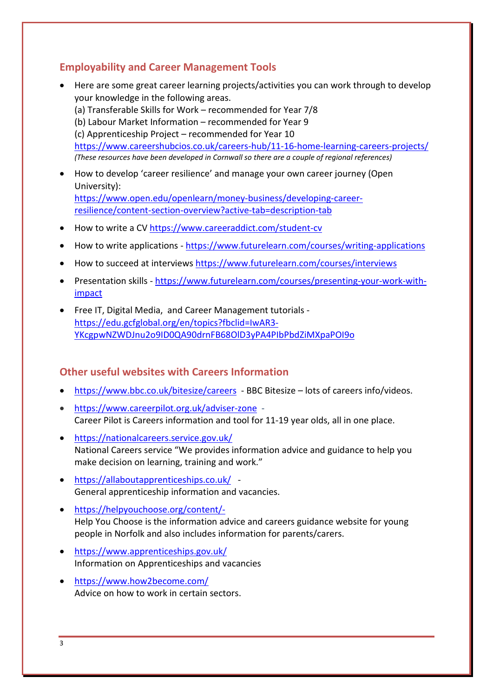#### **Employability and Career Management Tools**

- Here are some great career learning projects/activities you can work through to develop your knowledge in the following areas. (a) Transferable Skills for Work – recommended for Year 7/8 (b) Labour Market Information – recommended for Year 9 (c) Apprenticeship Project – recommended for Year 10 <https://www.careershubcios.co.uk/careers-hub/11-16-home-learning-careers-projects/> *(These resources have been developed in Cornwall so there are a couple of regional references)*
- How to develop 'career resilience' and manage your own career journey (Open University): [https://www.open.edu/openlearn/money-business/developing-career](https://www.open.edu/openlearn/money-business/developing-career-resilience/content-section-overview?active-tab=description-tab)[resilience/content-section-overview?active-tab=description-tab](https://www.open.edu/openlearn/money-business/developing-career-resilience/content-section-overview?active-tab=description-tab)
- How to write a CV<https://www.careeraddict.com/student-cv>
- How to write applications <https://www.futurelearn.com/courses/writing-applications>
- How to succeed at interviews<https://www.futurelearn.com/courses/interviews>
- Presentation skills [https://www.futurelearn.com/courses/presenting-your-work-with](https://www.futurelearn.com/courses/presenting-your-work-with-impact)[impact](https://www.futurelearn.com/courses/presenting-your-work-with-impact)
- Free IT, Digital Media, and Career Management tutorials [https://edu.gcfglobal.org/en/topics?fbclid=IwAR3-](https://edu.gcfglobal.org/en/topics?fbclid=IwAR3-YKcgpwNZWDJnu2o9ID0QA90drnFB68OlD3yPA4PIbPbdZiMXpaPOI9o) [YKcgpwNZWDJnu2o9ID0QA90drnFB68OlD3yPA4PIbPbdZiMXpaPOI9o](https://edu.gcfglobal.org/en/topics?fbclid=IwAR3-YKcgpwNZWDJnu2o9ID0QA90drnFB68OlD3yPA4PIbPbdZiMXpaPOI9o)

#### **Other useful websites with Careers Information**

- <https://www.bbc.co.uk/bitesize/careers> BBC Bitesize lots of careers info/videos.
- <https://www.careerpilot.org.uk/adviser-zone> Career Pilot is Careers information and tool for 11-19 year olds, all in one place.
- <https://nationalcareers.service.gov.uk/> National Careers service "We provides information advice and guidance to help you make decision on learning, training and work."
- <https://allaboutapprenticeships.co.uk/> General apprenticeship information and vacancies.
- <https://helpyouchoose.org/content/-> Help You Choose is the information advice and careers guidance website for young people in Norfolk and also includes information for parents/carers.
- <https://www.apprenticeships.gov.uk/> Information on Apprenticeships and vacancies
- [https://www.how2become.com/](https://www.how2become.com/-) Advice on how to work in certain sectors.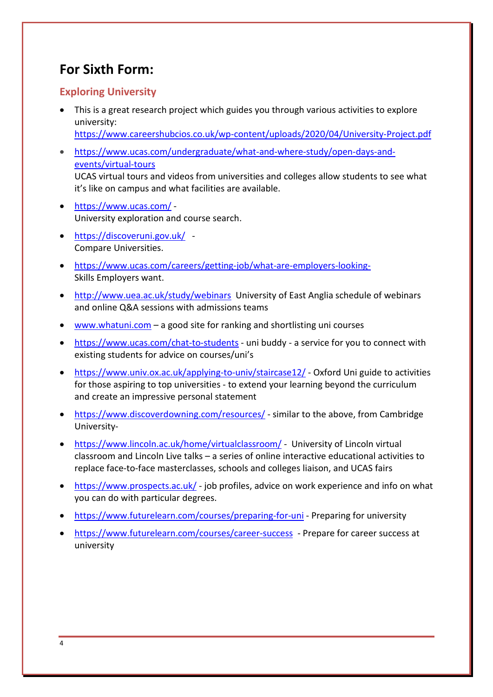### **For Sixth Form:**

#### **Exploring University**

- This is a great research project which guides you through various activities to explore university: <https://www.careershubcios.co.uk/wp-content/uploads/2020/04/University-Project.pdf>
- [https://www.ucas.com/undergraduate/what-and-where-study/open-days-and](https://www.ucas.com/undergraduate/what-and-where-study/open-days-and-events/virtual-tours)[events/virtual-tours](https://www.ucas.com/undergraduate/what-and-where-study/open-days-and-events/virtual-tours)  UCAS virtual tours and videos from universities and colleges allow students to see what it's like on campus and what facilities are available.
- <https://www.ucas.com/> University exploration and course search.
- <https://discoveruni.gov.uk/> Compare Universities.
- <https://www.ucas.com/careers/getting-job/what-are-employers-looking->Skills Employers want.
- <http://www.uea.ac.uk/study/webinars> University of East Anglia schedule of webinars and online Q&A sessions with admissions teams
- [www.whatuni.com](http://www.whatuni.com/) a good site for ranking and shortlisting uni courses
- <https://www.ucas.com/chat-to-students> uni buddy a service for you to connect with existing students for advice on courses/uni's
- <https://www.univ.ox.ac.uk/applying-to-univ/staircase12/> Oxford Uni guide to activities for those aspiring to top universities - to extend your learning beyond the curriculum and create an impressive personal statement
- <https://www.discoverdowning.com/resources/> similar to the above, from Cambridge University-
- <https://www.lincoln.ac.uk/home/virtualclassroom/> University of Lincoln virtual classroom and Lincoln Live talks – a series of online interactive educational activities to replace face-to-face masterclasses, schools and colleges liaison, and UCAS fairs
- <https://www.prospects.ac.uk/> job profiles, advice on work experience and info on what you can do with particular degrees.
- <https://www.futurelearn.com/courses/preparing-for-uni> Preparing for university
- <https://www.futurelearn.com/courses/career-success> Prepare for career success at university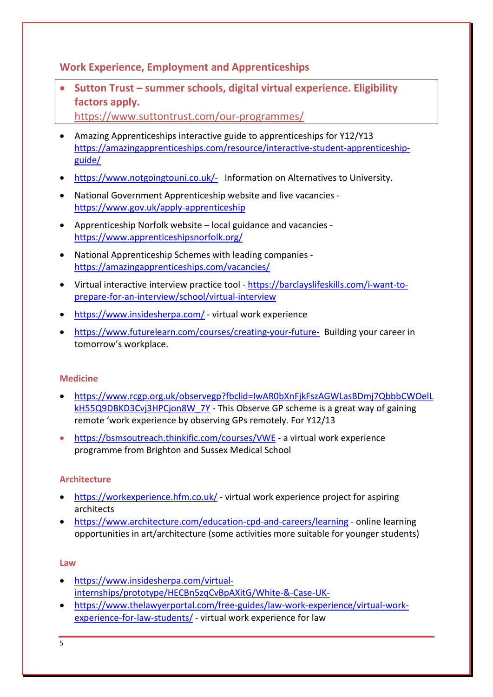#### **Work Experience, Employment and Apprenticeships**

• **Sutton Trust – summer schools, digital virtual experience. Eligibility factors apply.**

<https://www.suttontrust.com/our-programmes/>

- Amazing Apprenticeships interactive guide to apprenticeships for Y12/Y13 [https://amazingapprenticeships.com/resource/interactive-student-apprenticeship](https://amazingapprenticeships.com/resource/interactive-student-apprenticeship-guide/)[guide/](https://amazingapprenticeships.com/resource/interactive-student-apprenticeship-guide/)
- https://www.notgoingtouni.co.uk/- Information on Alternatives to University.
- National Government Apprenticeship website and live vacancies <https://www.gov.uk/apply-apprenticeship>
- Apprenticeship Norfolk website local guidance and vacancies <https://www.apprenticeshipsnorfolk.org/>
- National Apprenticeship Schemes with leading companies <https://amazingapprenticeships.com/vacancies/>
- Virtual interactive interview practice tool [https://barclayslifeskills.com/i-want-to](https://barclayslifeskills.com/i-want-to-prepare-for-an-interview/school/virtual-interview)[prepare-for-an-interview/school/virtual-interview](https://barclayslifeskills.com/i-want-to-prepare-for-an-interview/school/virtual-interview)
- <https://www.insidesherpa.com/> virtual work experience
- <https://www.futurelearn.com/courses/creating-your-future->Building your career in tomorrow's workplace.

#### **Medicine**

- [https://www.rcgp.org.uk/observegp?fbclid=IwAR0bXnFjkFszAGWLasBDmj7QbbbCWOelL](https://www.rcgp.org.uk/observegp?fbclid=IwAR0bXnFjkFszAGWLasBDmj7QbbbCWOelLkH55Q9DBKD3Cvj3HPCjon8W_7Y) [kH55Q9DBKD3Cvj3HPCjon8W\\_7Y](https://www.rcgp.org.uk/observegp?fbclid=IwAR0bXnFjkFszAGWLasBDmj7QbbbCWOelLkH55Q9DBKD3Cvj3HPCjon8W_7Y) - This Observe GP scheme is a great way of gaining remote 'work experience by observing GPs remotely. For Y12/13
- <https://bsmsoutreach.thinkific.com/courses/VWE> a virtual work experience programme from Brighton and Sussex Medical School

#### **Architecture**

- <https://workexperience.hfm.co.uk/> virtual work experience project for aspiring architects
- <https://www.architecture.com/education-cpd-and-careers/learning> online learning opportunities in art/architecture (some activities more suitable for younger students)

#### **Law**

- [https://www.insidesherpa.com/virtual](https://www.insidesherpa.com/virtual-internships/prototype/HECBn5zqCvBpAXitG/White-&-Case-UK-)[internships/prototype/HECBn5zqCvBpAXitG/White-&-Case-UK-](https://www.insidesherpa.com/virtual-internships/prototype/HECBn5zqCvBpAXitG/White-&-Case-UK-)
- [https://www.thelawyerportal.com/free-guides/law-work-experience/virtual-work](https://www.thelawyerportal.com/free-guides/law-work-experience/virtual-work-experience-for-law-students/)[experience-for-law-students/](https://www.thelawyerportal.com/free-guides/law-work-experience/virtual-work-experience-for-law-students/) - virtual work experience for law